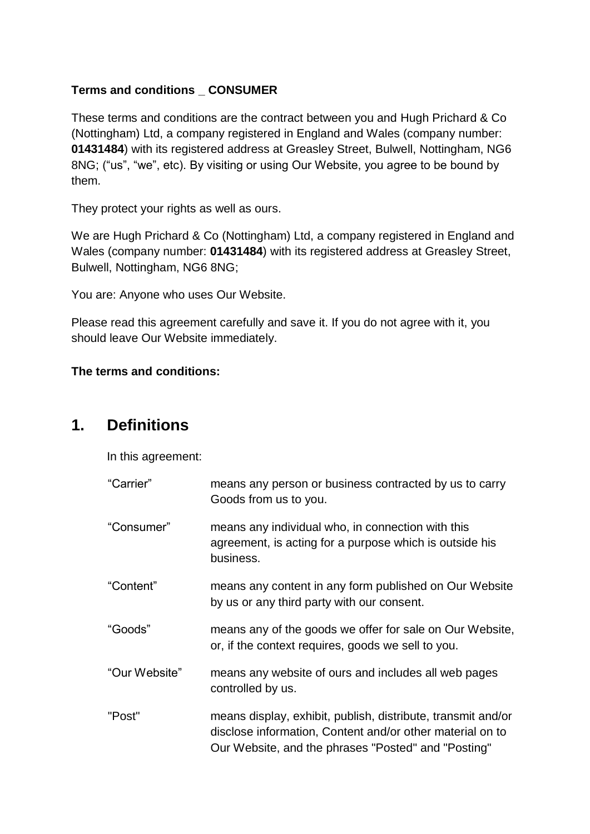#### **Terms and conditions \_ CONSUMER**

These terms and conditions are the contract between you and Hugh Prichard & Co (Nottingham) Ltd, a company registered in England and Wales (company number: **01431484**) with its registered address at Greasley Street, Bulwell, Nottingham, NG6 8NG; ("us", "we", etc). By visiting or using Our Website, you agree to be bound by them.

They protect your rights as well as ours.

We are Hugh Prichard & Co (Nottingham) Ltd, a company registered in England and Wales (company number: **01431484**) with its registered address at Greasley Street, Bulwell, Nottingham, NG6 8NG;

You are: Anyone who uses Our Website.

Please read this agreement carefully and save it. If you do not agree with it, you should leave Our Website immediately.

#### **The terms and conditions:**

#### **1. Definitions**

In this agreement:

| "Carrier"     | means any person or business contracted by us to carry<br>Goods from us to you.                                                                                                  |
|---------------|----------------------------------------------------------------------------------------------------------------------------------------------------------------------------------|
| "Consumer"    | means any individual who, in connection with this<br>agreement, is acting for a purpose which is outside his<br>business.                                                        |
| "Content"     | means any content in any form published on Our Website<br>by us or any third party with our consent.                                                                             |
| "Goods"       | means any of the goods we offer for sale on Our Website,<br>or, if the context requires, goods we sell to you.                                                                   |
| "Our Website" | means any website of ours and includes all web pages<br>controlled by us.                                                                                                        |
| "Post"        | means display, exhibit, publish, distribute, transmit and/or<br>disclose information, Content and/or other material on to<br>Our Website, and the phrases "Posted" and "Posting" |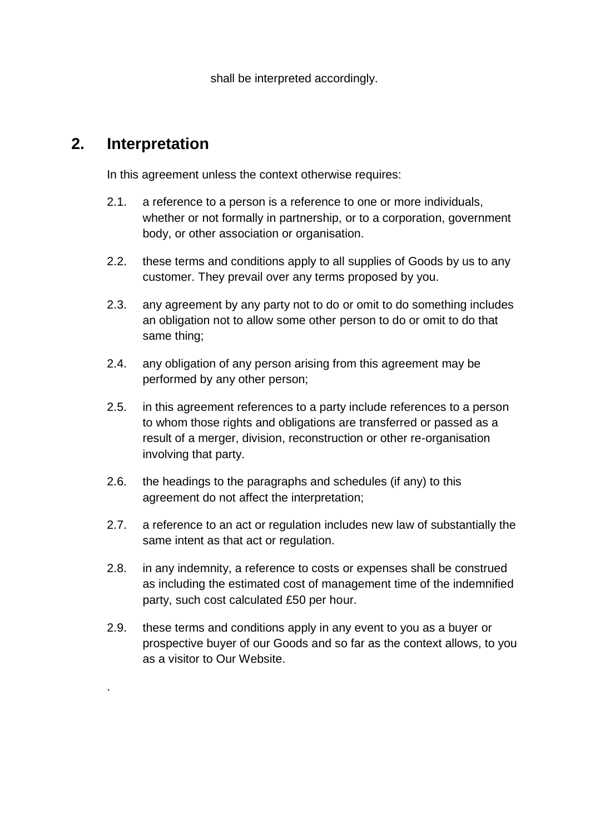shall be interpreted accordingly.

### **2. Interpretation**

.

In this agreement unless the context otherwise requires:

- 2.1. a reference to a person is a reference to one or more individuals, whether or not formally in partnership, or to a corporation, government body, or other association or organisation.
- 2.2. these terms and conditions apply to all supplies of Goods by us to any customer. They prevail over any terms proposed by you.
- 2.3. any agreement by any party not to do or omit to do something includes an obligation not to allow some other person to do or omit to do that same thing;
- 2.4. any obligation of any person arising from this agreement may be performed by any other person;
- 2.5. in this agreement references to a party include references to a person to whom those rights and obligations are transferred or passed as a result of a merger, division, reconstruction or other re-organisation involving that party.
- 2.6. the headings to the paragraphs and schedules (if any) to this agreement do not affect the interpretation;
- 2.7. a reference to an act or regulation includes new law of substantially the same intent as that act or regulation.
- 2.8. in any indemnity, a reference to costs or expenses shall be construed as including the estimated cost of management time of the indemnified party, such cost calculated £50 per hour.
- 2.9. these terms and conditions apply in any event to you as a buyer or prospective buyer of our Goods and so far as the context allows, to you as a visitor to Our Website.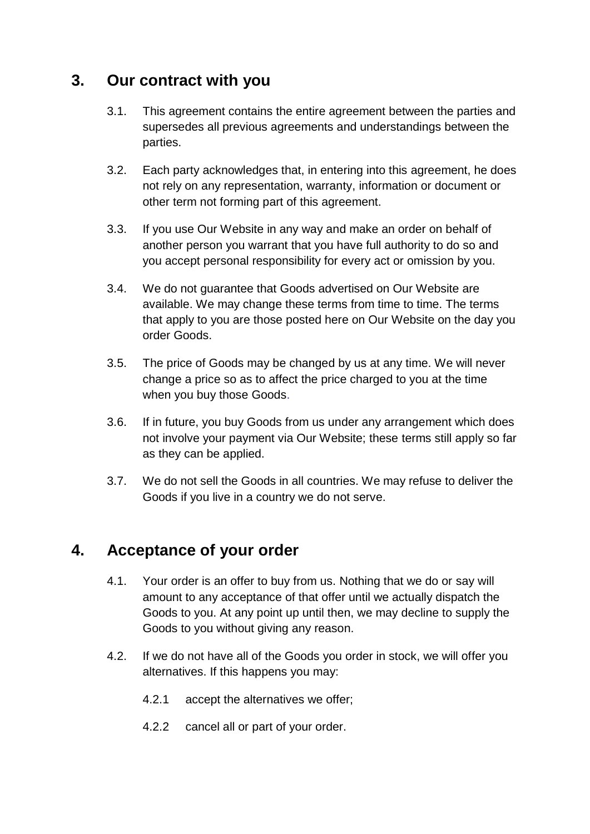### **3. Our contract with you**

- 3.1. This agreement contains the entire agreement between the parties and supersedes all previous agreements and understandings between the parties.
- 3.2. Each party acknowledges that, in entering into this agreement, he does not rely on any representation, warranty, information or document or other term not forming part of this agreement.
- 3.3. If you use Our Website in any way and make an order on behalf of another person you warrant that you have full authority to do so and you accept personal responsibility for every act or omission by you.
- 3.4. We do not guarantee that Goods advertised on Our Website are available. We may change these terms from time to time. The terms that apply to you are those posted here on Our Website on the day you order Goods.
- 3.5. The price of Goods may be changed by us at any time. We will never change a price so as to affect the price charged to you at the time when you buy those Goods.
- 3.6. If in future, you buy Goods from us under any arrangement which does not involve your payment via Our Website; these terms still apply so far as they can be applied.
- 3.7. We do not sell the Goods in all countries. We may refuse to deliver the Goods if you live in a country we do not serve.

## **4. Acceptance of your order**

- 4.1. Your order is an offer to buy from us. Nothing that we do or say will amount to any acceptance of that offer until we actually dispatch the Goods to you. At any point up until then, we may decline to supply the Goods to you without giving any reason.
- 4.2. If we do not have all of the Goods you order in stock, we will offer you alternatives. If this happens you may:
	- 4.2.1 accept the alternatives we offer;
	- 4.2.2 cancel all or part of your order.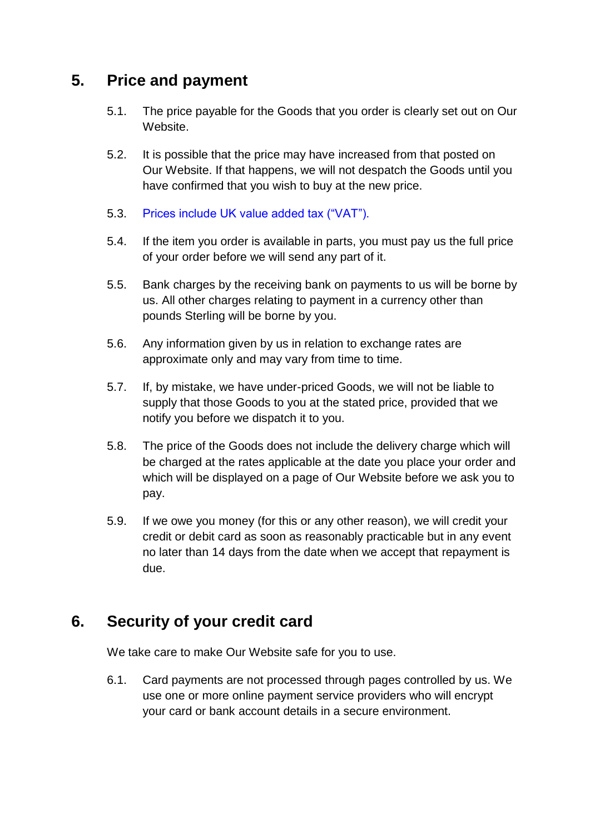## **5. Price and payment**

- 5.1. The price payable for the Goods that you order is clearly set out on Our Website.
- 5.2. It is possible that the price may have increased from that posted on Our Website. If that happens, we will not despatch the Goods until you have confirmed that you wish to buy at the new price.
- 5.3. Prices include UK value added tax ("VAT").
- 5.4. If the item you order is available in parts, you must pay us the full price of your order before we will send any part of it.
- 5.5. Bank charges by the receiving bank on payments to us will be borne by us. All other charges relating to payment in a currency other than pounds Sterling will be borne by you.
- 5.6. Any information given by us in relation to exchange rates are approximate only and may vary from time to time.
- 5.7. If, by mistake, we have under-priced Goods, we will not be liable to supply that those Goods to you at the stated price, provided that we notify you before we dispatch it to you.
- 5.8. The price of the Goods does not include the delivery charge which will be charged at the rates applicable at the date you place your order and which will be displayed on a page of Our Website before we ask you to pay.
- 5.9. If we owe you money (for this or any other reason), we will credit your credit or debit card as soon as reasonably practicable but in any event no later than 14 days from the date when we accept that repayment is due.

# **6. Security of your credit card**

We take care to make Our Website safe for you to use.

6.1. Card payments are not processed through pages controlled by us. We use one or more online payment service providers who will encrypt your card or bank account details in a secure environment.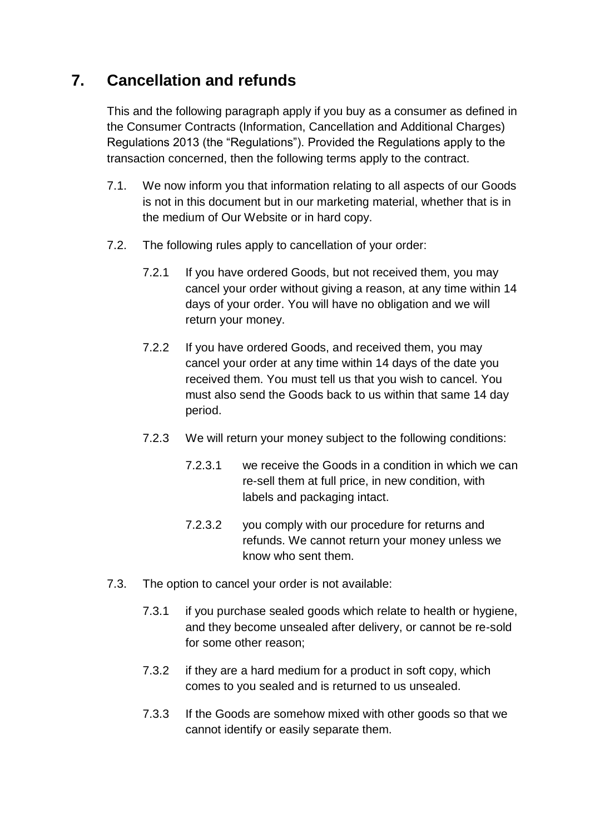# **7. Cancellation and refunds**

This and the following paragraph apply if you buy as a consumer as defined in the Consumer Contracts (Information, Cancellation and Additional Charges) Regulations 2013 (the "Regulations"). Provided the Regulations apply to the transaction concerned, then the following terms apply to the contract.

- 7.1. We now inform you that information relating to all aspects of our Goods is not in this document but in our marketing material, whether that is in the medium of Our Website or in hard copy.
- 7.2. The following rules apply to cancellation of your order:
	- 7.2.1 If you have ordered Goods, but not received them, you may cancel your order without giving a reason, at any time within 14 days of your order. You will have no obligation and we will return your money.
	- 7.2.2 If you have ordered Goods, and received them, you may cancel your order at any time within 14 days of the date you received them. You must tell us that you wish to cancel. You must also send the Goods back to us within that same 14 day period.
	- 7.2.3 We will return your money subject to the following conditions:
		- 7.2.3.1 we receive the Goods in a condition in which we can re-sell them at full price, in new condition, with labels and packaging intact.
		- 7.2.3.2 you comply with our procedure for returns and refunds. We cannot return your money unless we know who sent them.
- 7.3. The option to cancel your order is not available:
	- 7.3.1 if you purchase sealed goods which relate to health or hygiene, and they become unsealed after delivery, or cannot be re-sold for some other reason;
	- 7.3.2 if they are a hard medium for a product in soft copy, which comes to you sealed and is returned to us unsealed.
	- 7.3.3 If the Goods are somehow mixed with other goods so that we cannot identify or easily separate them.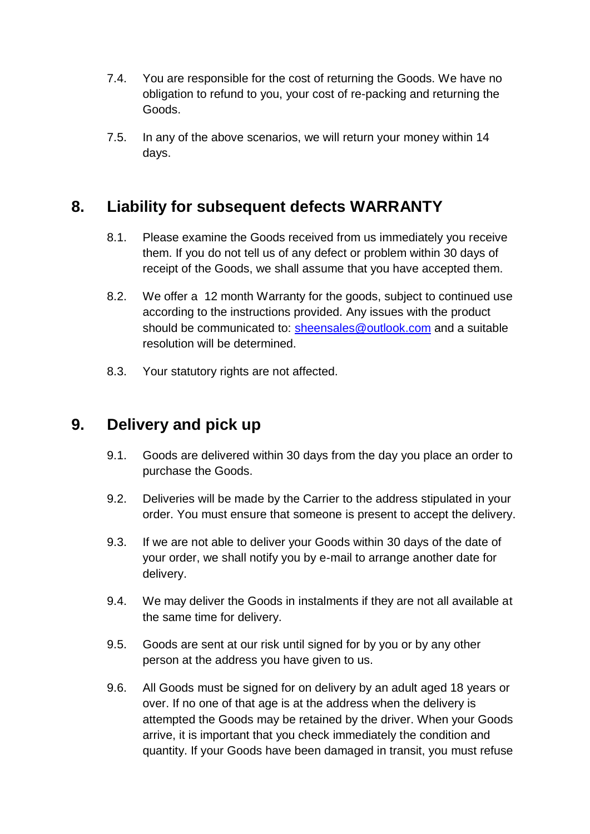- 7.4. You are responsible for the cost of returning the Goods. We have no obligation to refund to you, your cost of re-packing and returning the Goods.
- 7.5. In any of the above scenarios, we will return your money within 14 days.

# **8. Liability for subsequent defects WARRANTY**

- 8.1. Please examine the Goods received from us immediately you receive them. If you do not tell us of any defect or problem within 30 days of receipt of the Goods, we shall assume that you have accepted them.
- 8.2. We offer a 12 month Warranty for the goods, subject to continued use according to the instructions provided. Any issues with the product should be communicated to: [sheensales@outlook.com](mailto:sheensales@outlook.com) and a suitable resolution will be determined.
- 8.3. Your statutory rights are not affected.

# **9. Delivery and pick up**

- 9.1. Goods are delivered within 30 days from the day you place an order to purchase the Goods.
- 9.2. Deliveries will be made by the Carrier to the address stipulated in your order. You must ensure that someone is present to accept the delivery.
- 9.3. If we are not able to deliver your Goods within 30 days of the date of your order, we shall notify you by e-mail to arrange another date for delivery.
- 9.4. We may deliver the Goods in instalments if they are not all available at the same time for delivery.
- 9.5. Goods are sent at our risk until signed for by you or by any other person at the address you have given to us.
- 9.6. All Goods must be signed for on delivery by an adult aged 18 years or over. If no one of that age is at the address when the delivery is attempted the Goods may be retained by the driver. When your Goods arrive, it is important that you check immediately the condition and quantity. If your Goods have been damaged in transit, you must refuse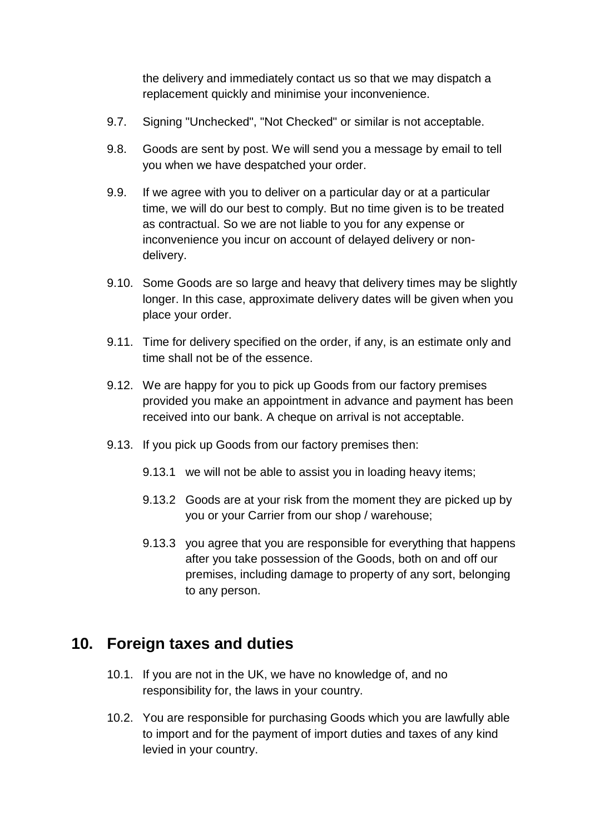the delivery and immediately contact us so that we may dispatch a replacement quickly and minimise your inconvenience.

- 9.7. Signing "Unchecked", "Not Checked" or similar is not acceptable.
- 9.8. Goods are sent by post. We will send you a message by email to tell you when we have despatched your order.
- 9.9. If we agree with you to deliver on a particular day or at a particular time, we will do our best to comply. But no time given is to be treated as contractual. So we are not liable to you for any expense or inconvenience you incur on account of delayed delivery or nondelivery.
- 9.10. Some Goods are so large and heavy that delivery times may be slightly longer. In this case, approximate delivery dates will be given when you place your order.
- 9.11. Time for delivery specified on the order, if any, is an estimate only and time shall not be of the essence.
- 9.12. We are happy for you to pick up Goods from our factory premises provided you make an appointment in advance and payment has been received into our bank. A cheque on arrival is not acceptable.
- 9.13. If you pick up Goods from our factory premises then:
	- 9.13.1 we will not be able to assist you in loading heavy items;
	- 9.13.2 Goods are at your risk from the moment they are picked up by you or your Carrier from our shop / warehouse;
	- 9.13.3 you agree that you are responsible for everything that happens after you take possession of the Goods, both on and off our premises, including damage to property of any sort, belonging to any person.

## **10. Foreign taxes and duties**

- 10.1. If you are not in the UK, we have no knowledge of, and no responsibility for, the laws in your country.
- 10.2. You are responsible for purchasing Goods which you are lawfully able to import and for the payment of import duties and taxes of any kind levied in your country.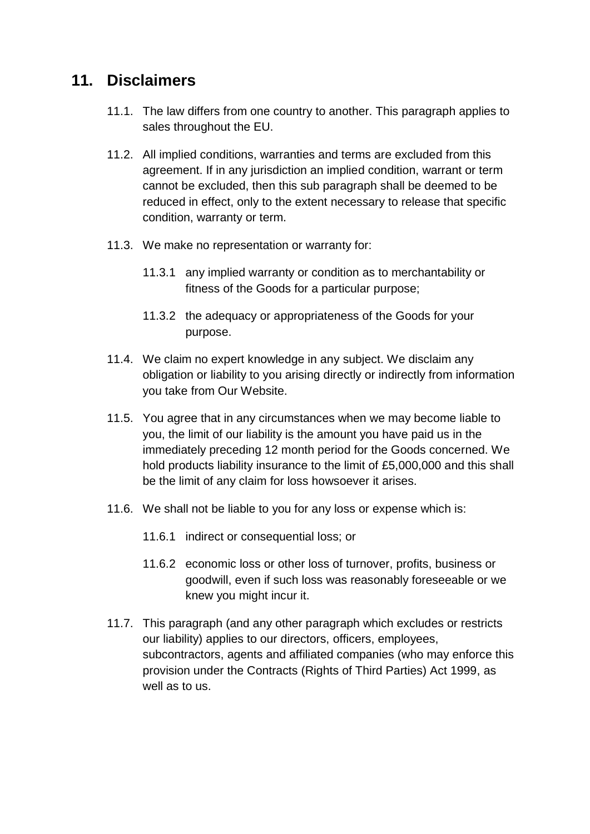### **11. Disclaimers**

- 11.1. The law differs from one country to another. This paragraph applies to sales throughout the EU.
- 11.2. All implied conditions, warranties and terms are excluded from this agreement. If in any jurisdiction an implied condition, warrant or term cannot be excluded, then this sub paragraph shall be deemed to be reduced in effect, only to the extent necessary to release that specific condition, warranty or term.
- 11.3. We make no representation or warranty for:
	- 11.3.1 any implied warranty or condition as to merchantability or fitness of the Goods for a particular purpose;
	- 11.3.2 the adequacy or appropriateness of the Goods for your purpose.
- 11.4. We claim no expert knowledge in any subject. We disclaim any obligation or liability to you arising directly or indirectly from information you take from Our Website.
- 11.5. You agree that in any circumstances when we may become liable to you, the limit of our liability is the amount you have paid us in the immediately preceding 12 month period for the Goods concerned. We hold products liability insurance to the limit of £5,000,000 and this shall be the limit of any claim for loss howsoever it arises.
- 11.6. We shall not be liable to you for any loss or expense which is:
	- 11.6.1 indirect or consequential loss; or
	- 11.6.2 economic loss or other loss of turnover, profits, business or goodwill, even if such loss was reasonably foreseeable or we knew you might incur it.
- 11.7. This paragraph (and any other paragraph which excludes or restricts our liability) applies to our directors, officers, employees, subcontractors, agents and affiliated companies (who may enforce this provision under the Contracts (Rights of Third Parties) Act 1999, as well as to us.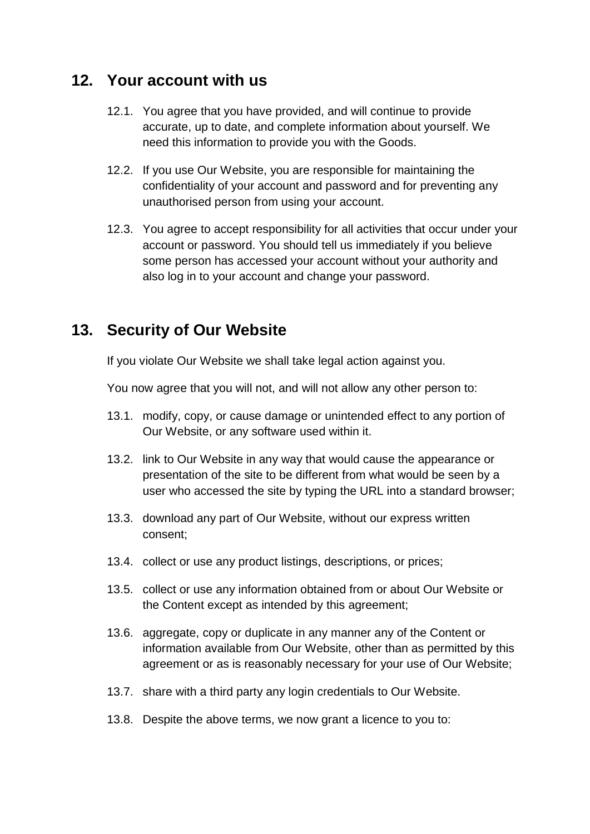#### **12. Your account with us**

- 12.1. You agree that you have provided, and will continue to provide accurate, up to date, and complete information about yourself. We need this information to provide you with the Goods.
- 12.2. If you use Our Website, you are responsible for maintaining the confidentiality of your account and password and for preventing any unauthorised person from using your account.
- 12.3. You agree to accept responsibility for all activities that occur under your account or password. You should tell us immediately if you believe some person has accessed your account without your authority and also log in to your account and change your password.

# **13. Security of Our Website**

If you violate Our Website we shall take legal action against you.

You now agree that you will not, and will not allow any other person to:

- 13.1. modify, copy, or cause damage or unintended effect to any portion of Our Website, or any software used within it.
- 13.2. link to Our Website in any way that would cause the appearance or presentation of the site to be different from what would be seen by a user who accessed the site by typing the URL into a standard browser;
- 13.3. download any part of Our Website, without our express written consent;
- 13.4. collect or use any product listings, descriptions, or prices;
- 13.5. collect or use any information obtained from or about Our Website or the Content except as intended by this agreement;
- 13.6. aggregate, copy or duplicate in any manner any of the Content or information available from Our Website, other than as permitted by this agreement or as is reasonably necessary for your use of Our Website;
- 13.7. share with a third party any login credentials to Our Website.
- 13.8. Despite the above terms, we now grant a licence to you to: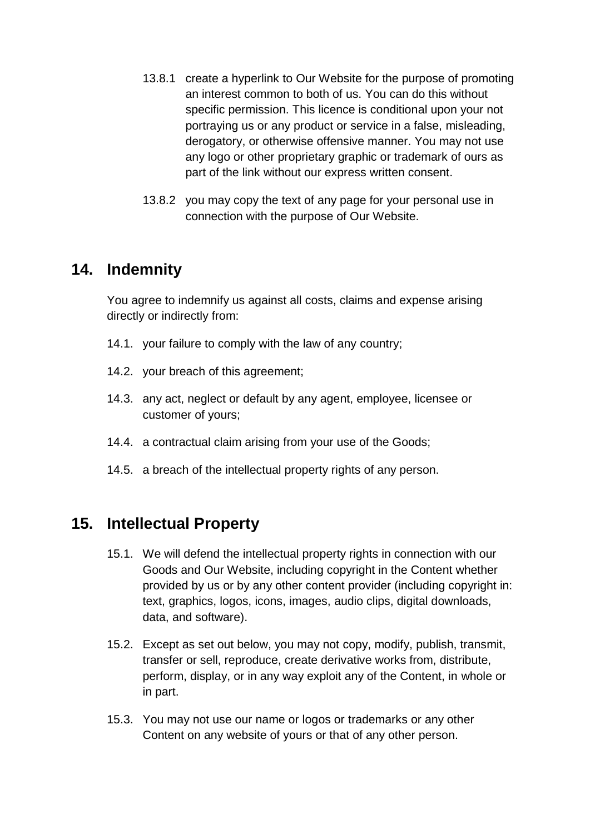- 13.8.1 create a hyperlink to Our Website for the purpose of promoting an interest common to both of us. You can do this without specific permission. This licence is conditional upon your not portraying us or any product or service in a false, misleading, derogatory, or otherwise offensive manner. You may not use any logo or other proprietary graphic or trademark of ours as part of the link without our express written consent.
- 13.8.2 you may copy the text of any page for your personal use in connection with the purpose of Our Website.

### **14. Indemnity**

You agree to indemnify us against all costs, claims and expense arising directly or indirectly from:

- 14.1. your failure to comply with the law of any country;
- 14.2. your breach of this agreement;
- 14.3. any act, neglect or default by any agent, employee, licensee or customer of yours;
- 14.4. a contractual claim arising from your use of the Goods;
- 14.5. a breach of the intellectual property rights of any person.

## **15. Intellectual Property**

- 15.1. We will defend the intellectual property rights in connection with our Goods and Our Website, including copyright in the Content whether provided by us or by any other content provider (including copyright in: text, graphics, logos, icons, images, audio clips, digital downloads, data, and software).
- 15.2. Except as set out below, you may not copy, modify, publish, transmit, transfer or sell, reproduce, create derivative works from, distribute, perform, display, or in any way exploit any of the Content, in whole or in part.
- 15.3. You may not use our name or logos or trademarks or any other Content on any website of yours or that of any other person.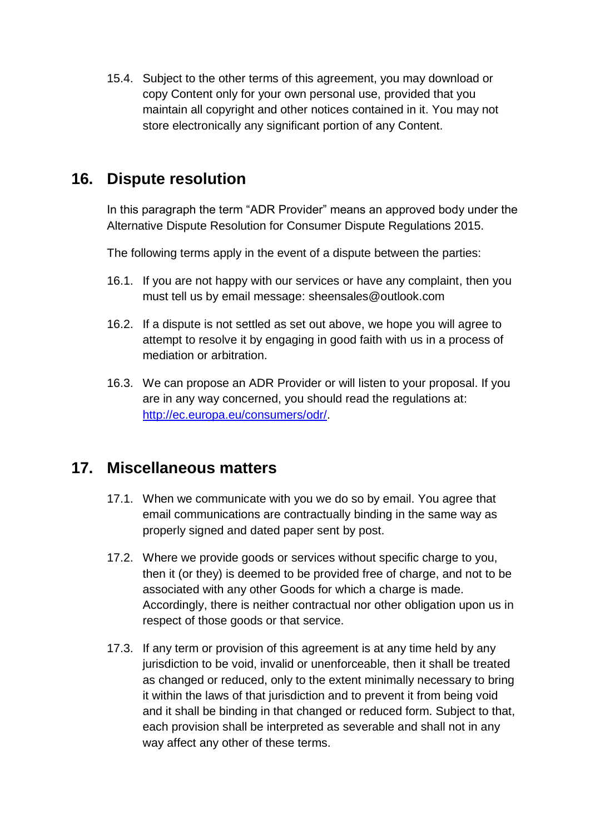15.4. Subject to the other terms of this agreement, you may download or copy Content only for your own personal use, provided that you maintain all copyright and other notices contained in it. You may not store electronically any significant portion of any Content.

# **16. Dispute resolution**

In this paragraph the term "ADR Provider" means an approved body under the Alternative Dispute Resolution for Consumer Dispute Regulations 2015.

The following terms apply in the event of a dispute between the parties:

- 16.1. If you are not happy with our services or have any complaint, then you must tell us by email message: sheensales@outlook.com
- 16.2. If a dispute is not settled as set out above, we hope you will agree to attempt to resolve it by engaging in good faith with us in a process of mediation or arbitration.
- 16.3. We can propose an ADR Provider or will listen to your proposal. If you are in any way concerned, you should read the regulations at: [http://ec.europa.eu/consumers/odr/.](http://ec.europa.eu/consumers/odr/)

## **17. Miscellaneous matters**

- 17.1. When we communicate with you we do so by email. You agree that email communications are contractually binding in the same way as properly signed and dated paper sent by post.
- 17.2. Where we provide goods or services without specific charge to you, then it (or they) is deemed to be provided free of charge, and not to be associated with any other Goods for which a charge is made. Accordingly, there is neither contractual nor other obligation upon us in respect of those goods or that service.
- 17.3. If any term or provision of this agreement is at any time held by any jurisdiction to be void, invalid or unenforceable, then it shall be treated as changed or reduced, only to the extent minimally necessary to bring it within the laws of that jurisdiction and to prevent it from being void and it shall be binding in that changed or reduced form. Subject to that, each provision shall be interpreted as severable and shall not in any way affect any other of these terms.